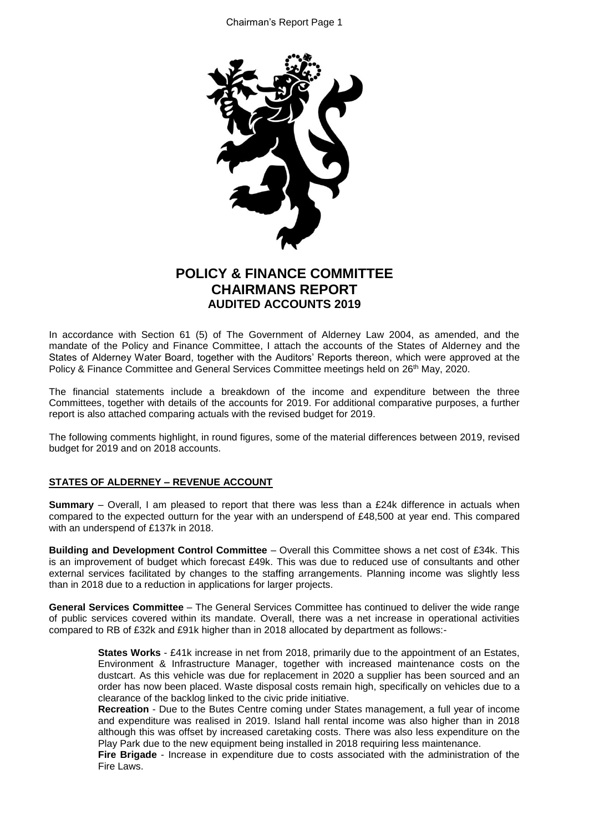

# **POLICY & FINANCE COMMITTEE CHAIRMANS REPORT AUDITED ACCOUNTS 2019**

In accordance with Section 61 (5) of The Government of Alderney Law 2004, as amended, and the mandate of the Policy and Finance Committee, I attach the accounts of the States of Alderney and the States of Alderney Water Board, together with the Auditors' Reports thereon, which were approved at the Policy & Finance Committee and General Services Committee meetings held on 26<sup>th</sup> May, 2020.

The financial statements include a breakdown of the income and expenditure between the three Committees, together with details of the accounts for 2019. For additional comparative purposes, a further report is also attached comparing actuals with the revised budget for 2019.

The following comments highlight, in round figures, some of the material differences between 2019, revised budget for 2019 and on 2018 accounts.

## **STATES OF ALDERNEY – REVENUE ACCOUNT**

**Summary** – Overall, I am pleased to report that there was less than a £24k difference in actuals when compared to the expected outturn for the year with an underspend of £48,500 at year end. This compared with an underspend of £137k in 2018.

**Building and Development Control Committee** – Overall this Committee shows a net cost of £34k. This is an improvement of budget which forecast £49k. This was due to reduced use of consultants and other external services facilitated by changes to the staffing arrangements. Planning income was slightly less than in 2018 due to a reduction in applications for larger projects.

**General Services Committee** – The General Services Committee has continued to deliver the wide range of public services covered within its mandate. Overall, there was a net increase in operational activities compared to RB of £32k and £91k higher than in 2018 allocated by department as follows:-

> **States Works** - £41k increase in net from 2018, primarily due to the appointment of an Estates, Environment & Infrastructure Manager, together with increased maintenance costs on the dustcart. As this vehicle was due for replacement in 2020 a supplier has been sourced and an order has now been placed. Waste disposal costs remain high, specifically on vehicles due to a clearance of the backlog linked to the civic pride initiative.

> **Recreation** - Due to the Butes Centre coming under States management, a full year of income and expenditure was realised in 2019. Island hall rental income was also higher than in 2018 although this was offset by increased caretaking costs. There was also less expenditure on the Play Park due to the new equipment being installed in 2018 requiring less maintenance.

> **Fire Brigade** - Increase in expenditure due to costs associated with the administration of the Fire Laws.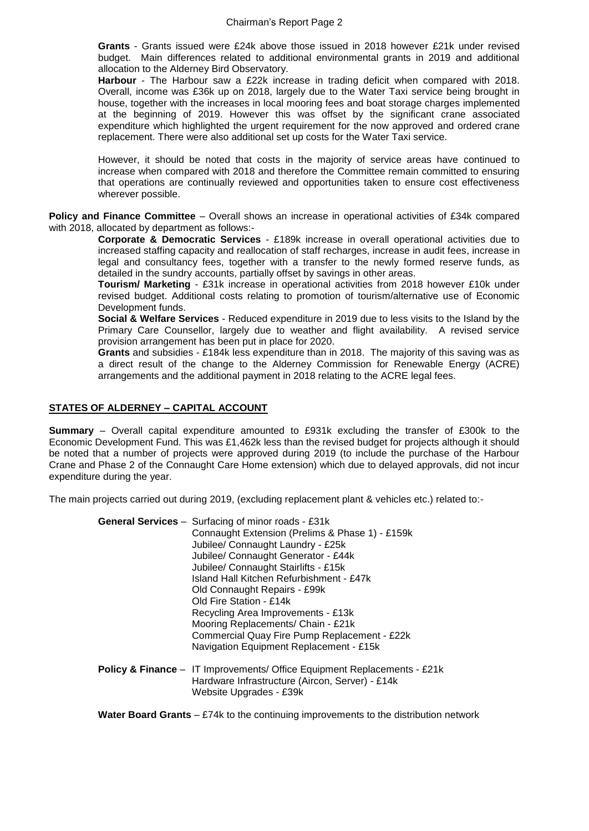**Grants** - Grants issued were £24k above those issued in 2018 however £21k under revised budget. Main differences related to additional environmental grants in 2019 and additional allocation to the Alderney Bird Observatory.

**Harbour** - The Harbour saw a £22k increase in trading deficit when compared with 2018. Overall, income was £36k up on 2018, largely due to the Water Taxi service being brought in house, together with the increases in local mooring fees and boat storage charges implemented at the beginning of 2019. However this was offset by the significant crane associated expenditure which highlighted the urgent requirement for the now approved and ordered crane replacement. There were also additional set up costs for the Water Taxi service.

However, it should be noted that costs in the majority of service areas have continued to increase when compared with 2018 and therefore the Committee remain committed to ensuring that operations are continually reviewed and opportunities taken to ensure cost effectiveness wherever possible.

**Policy and Finance Committee** – Overall shows an increase in operational activities of £34k compared with 2018, allocated by department as follows:-

> **Corporate & Democratic Services** - £189k increase in overall operational activities due to increased staffing capacity and reallocation of staff recharges, increase in audit fees, increase in legal and consultancy fees, together with a transfer to the newly formed reserve funds, as detailed in the sundry accounts, partially offset by savings in other areas.

> **Tourism/ Marketing** - £31k increase in operational activities from 2018 however £10k under revised budget. Additional costs relating to promotion of tourism/alternative use of Economic Development funds.

> **Social & Welfare Services** - Reduced expenditure in 2019 due to less visits to the Island by the Primary Care Counsellor, largely due to weather and flight availability. A revised service provision arrangement has been put in place for 2020.

> **Grants** and subsidies - £184k less expenditure than in 2018. The majority of this saving was as a direct result of the change to the Alderney Commission for Renewable Energy (ACRE) arrangements and the additional payment in 2018 relating to the ACRE legal fees.

### **STATES OF ALDERNEY – CAPITAL ACCOUNT**

**Summary** – Overall capital expenditure amounted to £931k excluding the transfer of £300k to the Economic Development Fund. This was £1,462k less than the revised budget for projects although it should be noted that a number of projects were approved during 2019 (to include the purchase of the Harbour Crane and Phase 2 of the Connaught Care Home extension) which due to delayed approvals, did not incur expenditure during the year.

The main projects carried out during 2019, (excluding replacement plant & vehicles etc.) related to:-

| <b>General Services</b> - Surfacing of minor roads - £31k                           |
|-------------------------------------------------------------------------------------|
| Connaught Extension (Prelims & Phase 1) - £159k                                     |
| Jubilee/ Connaught Laundry - £25k                                                   |
| Jubilee/ Connaught Generator - £44k                                                 |
| Jubilee/ Connaught Stairlifts - £15k                                                |
| Island Hall Kitchen Refurbishment - £47k                                            |
| Old Connaught Repairs - £99k                                                        |
| Old Fire Station - £14k                                                             |
| Recycling Area Improvements - £13k                                                  |
| Mooring Replacements/ Chain - £21k                                                  |
| Commercial Quay Fire Pump Replacement - £22k                                        |
| Navigation Equipment Replacement - £15k                                             |
| <b>Policy &amp; Finance</b> - IT Improvements/ Office Equipment Replacements - £21k |

Hardware Infrastructure (Aircon, Server) - £14k Website Upgrades - £39k

**Water Board Grants** – £74k to the continuing improvements to the distribution network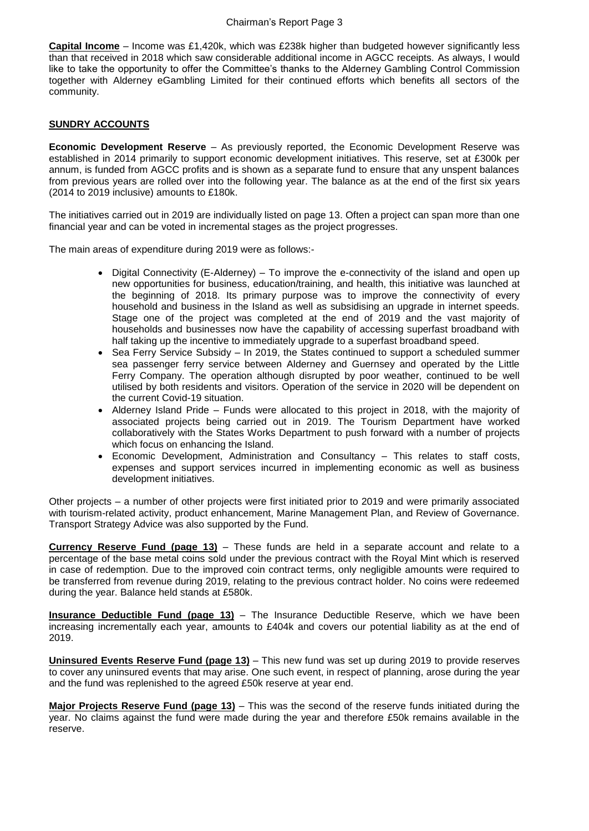**Capital Income** – Income was £1,420k, which was £238k higher than budgeted however significantly less than that received in 2018 which saw considerable additional income in AGCC receipts. As always, I would like to take the opportunity to offer the Committee's thanks to the Alderney Gambling Control Commission together with Alderney eGambling Limited for their continued efforts which benefits all sectors of the community.

## **SUNDRY ACCOUNTS**

**Economic Development Reserve** – As previously reported, the Economic Development Reserve was established in 2014 primarily to support economic development initiatives. This reserve, set at £300k per annum, is funded from AGCC profits and is shown as a separate fund to ensure that any unspent balances from previous years are rolled over into the following year. The balance as at the end of the first six years (2014 to 2019 inclusive) amounts to £180k.

The initiatives carried out in 2019 are individually listed on page 13. Often a project can span more than one financial year and can be voted in incremental stages as the project progresses.

The main areas of expenditure during 2019 were as follows:-

- $\bullet$  Digital Connectivity (E-Alderney) To improve the e-connectivity of the island and open up new opportunities for business, education/training, and health, this initiative was launched at the beginning of 2018. Its primary purpose was to improve the connectivity of every household and business in the Island as well as subsidising an upgrade in internet speeds. Stage one of the project was completed at the end of 2019 and the vast majority of households and businesses now have the capability of accessing superfast broadband with half taking up the incentive to immediately upgrade to a superfast broadband speed.
- Sea Ferry Service Subsidy In 2019, the States continued to support a scheduled summer sea passenger ferry service between Alderney and Guernsey and operated by the Little Ferry Company. The operation although disrupted by poor weather, continued to be well utilised by both residents and visitors. Operation of the service in 2020 will be dependent on the current Covid-19 situation.
- Alderney Island Pride Funds were allocated to this project in 2018, with the majority of associated projects being carried out in 2019. The Tourism Department have worked collaboratively with the States Works Department to push forward with a number of projects which focus on enhancing the Island.
- Economic Development, Administration and Consultancy This relates to staff costs, expenses and support services incurred in implementing economic as well as business development initiatives.

Other projects – a number of other projects were first initiated prior to 2019 and were primarily associated with tourism-related activity, product enhancement, Marine Management Plan, and Review of Governance. Transport Strategy Advice was also supported by the Fund.

**Currency Reserve Fund (page 13)** – These funds are held in a separate account and relate to a percentage of the base metal coins sold under the previous contract with the Royal Mint which is reserved in case of redemption. Due to the improved coin contract terms, only negligible amounts were required to be transferred from revenue during 2019, relating to the previous contract holder. No coins were redeemed during the year. Balance held stands at £580k.

**Insurance Deductible Fund (page 13)** – The Insurance Deductible Reserve, which we have been increasing incrementally each year, amounts to £404k and covers our potential liability as at the end of 2019.

**Uninsured Events Reserve Fund (page 13)** – This new fund was set up during 2019 to provide reserves to cover any uninsured events that may arise. One such event, in respect of planning, arose during the year and the fund was replenished to the agreed £50k reserve at year end.

**Major Projects Reserve Fund (page 13)** – This was the second of the reserve funds initiated during the year. No claims against the fund were made during the year and therefore £50k remains available in the reserve.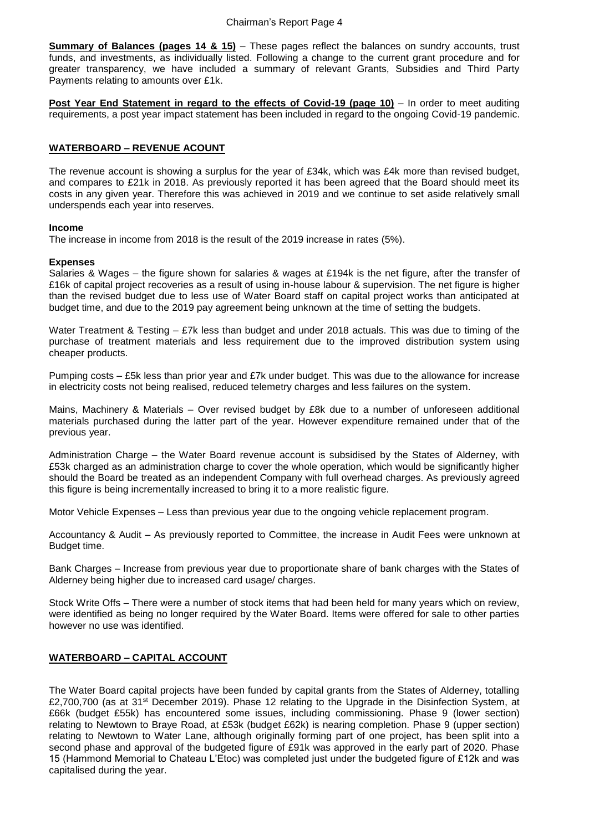**Summary of Balances (pages 14 & 15)** – These pages reflect the balances on sundry accounts, trust funds, and investments, as individually listed. Following a change to the current grant procedure and for greater transparency, we have included a summary of relevant Grants, Subsidies and Third Party Payments relating to amounts over £1k.

**Post Year End Statement in regard to the effects of Covid-19 (page 10)** – In order to meet auditing requirements, a post year impact statement has been included in regard to the ongoing Covid-19 pandemic.

#### **WATERBOARD – REVENUE ACOUNT**

The revenue account is showing a surplus for the year of £34k, which was £4k more than revised budget, and compares to £21k in 2018. As previously reported it has been agreed that the Board should meet its costs in any given year. Therefore this was achieved in 2019 and we continue to set aside relatively small underspends each year into reserves.

#### **Income**

The increase in income from 2018 is the result of the 2019 increase in rates (5%).

#### **Expenses**

Salaries & Wages – the figure shown for salaries & wages at £194k is the net figure, after the transfer of £16k of capital project recoveries as a result of using in-house labour & supervision. The net figure is higher than the revised budget due to less use of Water Board staff on capital project works than anticipated at budget time, and due to the 2019 pay agreement being unknown at the time of setting the budgets.

Water Treatment & Testing – £7k less than budget and under 2018 actuals. This was due to timing of the purchase of treatment materials and less requirement due to the improved distribution system using cheaper products.

Pumping costs – £5k less than prior year and £7k under budget. This was due to the allowance for increase in electricity costs not being realised, reduced telemetry charges and less failures on the system.

Mains, Machinery & Materials – Over revised budget by £8k due to a number of unforeseen additional materials purchased during the latter part of the year. However expenditure remained under that of the previous year.

Administration Charge – the Water Board revenue account is subsidised by the States of Alderney, with £53k charged as an administration charge to cover the whole operation, which would be significantly higher should the Board be treated as an independent Company with full overhead charges. As previously agreed this figure is being incrementally increased to bring it to a more realistic figure.

Motor Vehicle Expenses – Less than previous year due to the ongoing vehicle replacement program.

Accountancy & Audit – As previously reported to Committee, the increase in Audit Fees were unknown at Budget time.

Bank Charges – Increase from previous year due to proportionate share of bank charges with the States of Alderney being higher due to increased card usage/ charges.

Stock Write Offs – There were a number of stock items that had been held for many years which on review, were identified as being no longer required by the Water Board. Items were offered for sale to other parties however no use was identified.

## **WATERBOARD – CAPITAL ACCOUNT**

The Water Board capital projects have been funded by capital grants from the States of Alderney, totalling £2,700,700 (as at 31<sup>st</sup> December 2019). Phase 12 relating to the Upgrade in the Disinfection System, at £66k (budget £55k) has encountered some issues, including commissioning. Phase 9 (lower section) relating to Newtown to Braye Road, at £53k (budget £62k) is nearing completion. Phase 9 (upper section) relating to Newtown to Water Lane, although originally forming part of one project, has been split into a second phase and approval of the budgeted figure of £91k was approved in the early part of 2020. Phase 15 (Hammond Memorial to Chateau L'Etoc) was completed just under the budgeted figure of £12k and was capitalised during the year.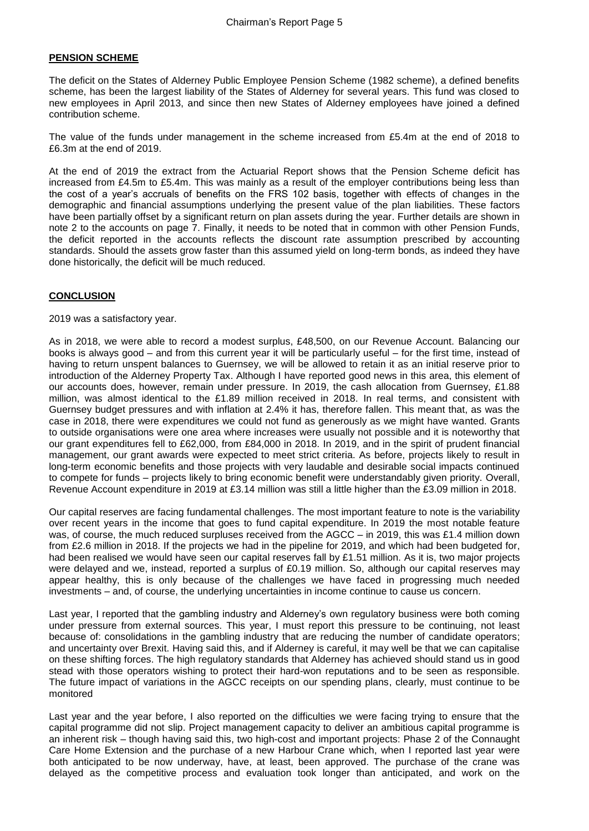## **PENSION SCHEME**

The deficit on the States of Alderney Public Employee Pension Scheme (1982 scheme), a defined benefits scheme, has been the largest liability of the States of Alderney for several years. This fund was closed to new employees in April 2013, and since then new States of Alderney employees have joined a defined contribution scheme.

The value of the funds under management in the scheme increased from £5.4m at the end of 2018 to £6.3m at the end of 2019.

At the end of 2019 the extract from the Actuarial Report shows that the Pension Scheme deficit has increased from £4.5m to £5.4m. This was mainly as a result of the employer contributions being less than the cost of a year's accruals of benefits on the FRS 102 basis, together with effects of changes in the demographic and financial assumptions underlying the present value of the plan liabilities. These factors have been partially offset by a significant return on plan assets during the year. Further details are shown in note 2 to the accounts on page 7. Finally, it needs to be noted that in common with other Pension Funds, the deficit reported in the accounts reflects the discount rate assumption prescribed by accounting standards. Should the assets grow faster than this assumed yield on long-term bonds, as indeed they have done historically, the deficit will be much reduced.

## **CONCLUSION**

2019 was a satisfactory year.

As in 2018, we were able to record a modest surplus, £48,500, on our Revenue Account. Balancing our books is always good – and from this current year it will be particularly useful – for the first time, instead of having to return unspent balances to Guernsey, we will be allowed to retain it as an initial reserve prior to introduction of the Alderney Property Tax. Although I have reported good news in this area, this element of our accounts does, however, remain under pressure. In 2019, the cash allocation from Guernsey, £1.88 million, was almost identical to the £1.89 million received in 2018. In real terms, and consistent with Guernsey budget pressures and with inflation at 2.4% it has, therefore fallen. This meant that, as was the case in 2018, there were expenditures we could not fund as generously as we might have wanted. Grants to outside organisations were one area where increases were usually not possible and it is noteworthy that our grant expenditures fell to £62,000, from £84,000 in 2018. In 2019, and in the spirit of prudent financial management, our grant awards were expected to meet strict criteria. As before, projects likely to result in long-term economic benefits and those projects with very laudable and desirable social impacts continued to compete for funds – projects likely to bring economic benefit were understandably given priority. Overall, Revenue Account expenditure in 2019 at £3.14 million was still a little higher than the £3.09 million in 2018.

Our capital reserves are facing fundamental challenges. The most important feature to note is the variability over recent years in the income that goes to fund capital expenditure. In 2019 the most notable feature was, of course, the much reduced surpluses received from the AGCC – in 2019, this was £1.4 million down from £2.6 million in 2018. If the projects we had in the pipeline for 2019, and which had been budgeted for, had been realised we would have seen our capital reserves fall by £1.51 million. As it is, two major projects were delayed and we, instead, reported a surplus of £0.19 million. So, although our capital reserves may appear healthy, this is only because of the challenges we have faced in progressing much needed investments – and, of course, the underlying uncertainties in income continue to cause us concern.

Last year, I reported that the gambling industry and Alderney's own regulatory business were both coming under pressure from external sources. This year, I must report this pressure to be continuing, not least because of: consolidations in the gambling industry that are reducing the number of candidate operators; and uncertainty over Brexit. Having said this, and if Alderney is careful, it may well be that we can capitalise on these shifting forces. The high regulatory standards that Alderney has achieved should stand us in good stead with those operators wishing to protect their hard-won reputations and to be seen as responsible. The future impact of variations in the AGCC receipts on our spending plans, clearly, must continue to be monitored

Last year and the year before, I also reported on the difficulties we were facing trying to ensure that the capital programme did not slip. Project management capacity to deliver an ambitious capital programme is an inherent risk – though having said this, two high-cost and important projects: Phase 2 of the Connaught Care Home Extension and the purchase of a new Harbour Crane which, when I reported last year were both anticipated to be now underway, have, at least, been approved. The purchase of the crane was delayed as the competitive process and evaluation took longer than anticipated, and work on the